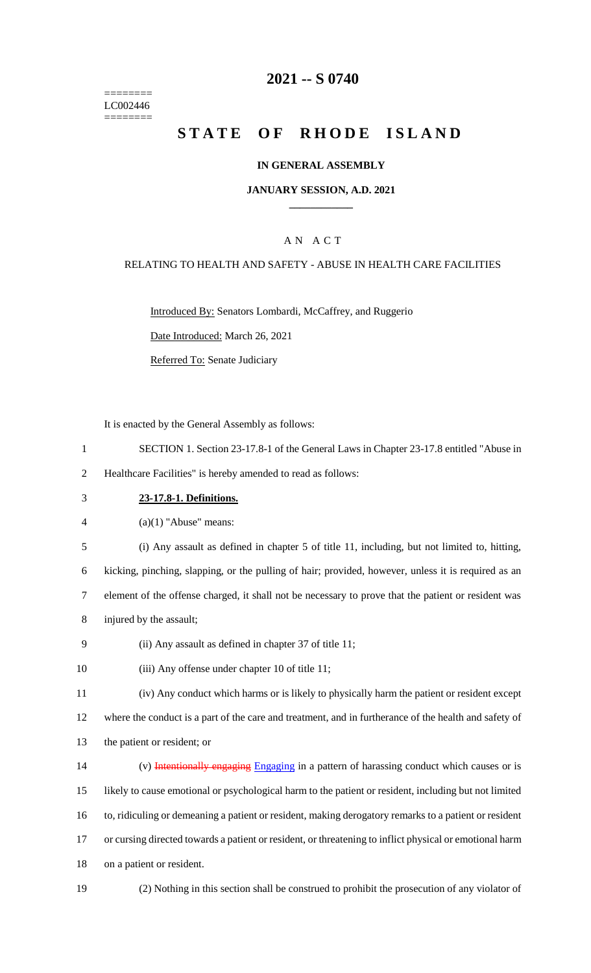======== LC002446 ========

### **2021 -- S 0740**

# **STATE OF RHODE ISLAND**

#### **IN GENERAL ASSEMBLY**

#### **JANUARY SESSION, A.D. 2021 \_\_\_\_\_\_\_\_\_\_\_\_**

### A N A C T

### RELATING TO HEALTH AND SAFETY - ABUSE IN HEALTH CARE FACILITIES

Introduced By: Senators Lombardi, McCaffrey, and Ruggerio

Date Introduced: March 26, 2021

Referred To: Senate Judiciary

It is enacted by the General Assembly as follows:

1 SECTION 1. Section 23-17.8-1 of the General Laws in Chapter 23-17.8 entitled "Abuse in

2 Healthcare Facilities" is hereby amended to read as follows:

#### 3 **23-17.8-1. Definitions.**

4  $(a)(1)$  "Abuse" means:

5 (i) Any assault as defined in chapter 5 of title 11, including, but not limited to, hitting,

6 kicking, pinching, slapping, or the pulling of hair; provided, however, unless it is required as an

7 element of the offense charged, it shall not be necessary to prove that the patient or resident was

- 8 injured by the assault;
- 9 (ii) Any assault as defined in chapter 37 of title 11;
- 10 (iii) Any offense under chapter 10 of title 11;

11 (iv) Any conduct which harms or is likely to physically harm the patient or resident except 12 where the conduct is a part of the care and treatment, and in furtherance of the health and safety of

13 the patient or resident; or

14 (v) Intentionally engaging Engaging in a pattern of harassing conduct which causes or is 15 likely to cause emotional or psychological harm to the patient or resident, including but not limited 16 to, ridiculing or demeaning a patient or resident, making derogatory remarks to a patient or resident 17 or cursing directed towards a patient or resident, or threatening to inflict physical or emotional harm 18 on a patient or resident.

- 
- 19 (2) Nothing in this section shall be construed to prohibit the prosecution of any violator of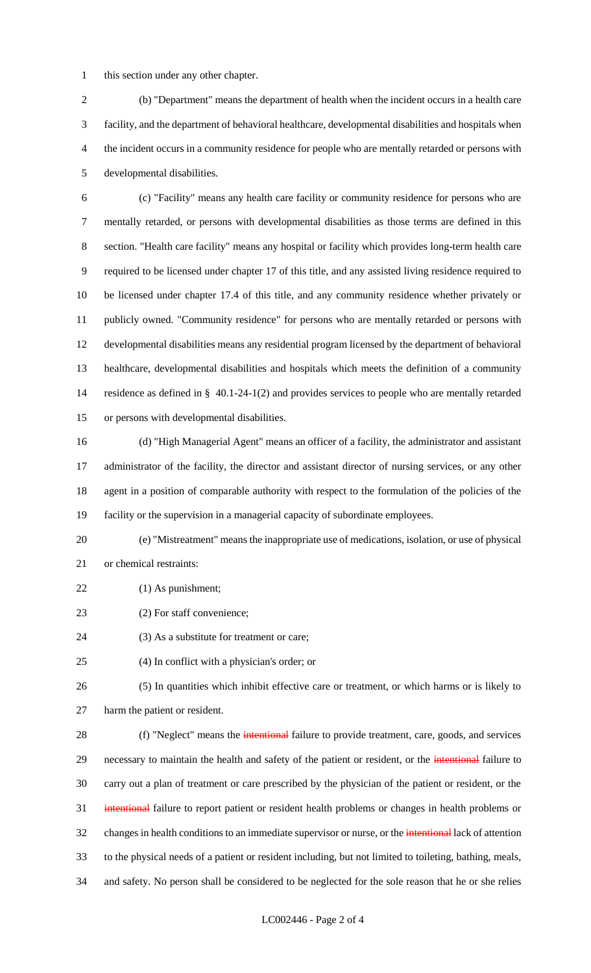this section under any other chapter.

 (b) "Department" means the department of health when the incident occurs in a health care facility, and the department of behavioral healthcare, developmental disabilities and hospitals when the incident occurs in a community residence for people who are mentally retarded or persons with developmental disabilities.

 (c) "Facility" means any health care facility or community residence for persons who are mentally retarded, or persons with developmental disabilities as those terms are defined in this section. "Health care facility" means any hospital or facility which provides long-term health care required to be licensed under chapter 17 of this title, and any assisted living residence required to be licensed under chapter 17.4 of this title, and any community residence whether privately or publicly owned. "Community residence" for persons who are mentally retarded or persons with developmental disabilities means any residential program licensed by the department of behavioral healthcare, developmental disabilities and hospitals which meets the definition of a community residence as defined in § 40.1-24-1(2) and provides services to people who are mentally retarded or persons with developmental disabilities.

 (d) "High Managerial Agent" means an officer of a facility, the administrator and assistant administrator of the facility, the director and assistant director of nursing services, or any other agent in a position of comparable authority with respect to the formulation of the policies of the facility or the supervision in a managerial capacity of subordinate employees.

 (e) "Mistreatment" means the inappropriate use of medications, isolation, or use of physical or chemical restraints:

- (1) As punishment;
- 23 (2) For staff convenience;
- 24 (3) As a substitute for treatment or care;
- (4) In conflict with a physician's order; or

 (5) In quantities which inhibit effective care or treatment, or which harms or is likely to harm the patient or resident.

28 (f) "Neglect" means the intentional failure to provide treatment, care, goods, and services 29 necessary to maintain the health and safety of the patient or resident, or the *intentional* failure to carry out a plan of treatment or care prescribed by the physician of the patient or resident, or the intentional failure to report patient or resident health problems or changes in health problems or 32 changes in health conditions to an immediate supervisor or nurse, or the *intentional* lack of attention to the physical needs of a patient or resident including, but not limited to toileting, bathing, meals, and safety. No person shall be considered to be neglected for the sole reason that he or she relies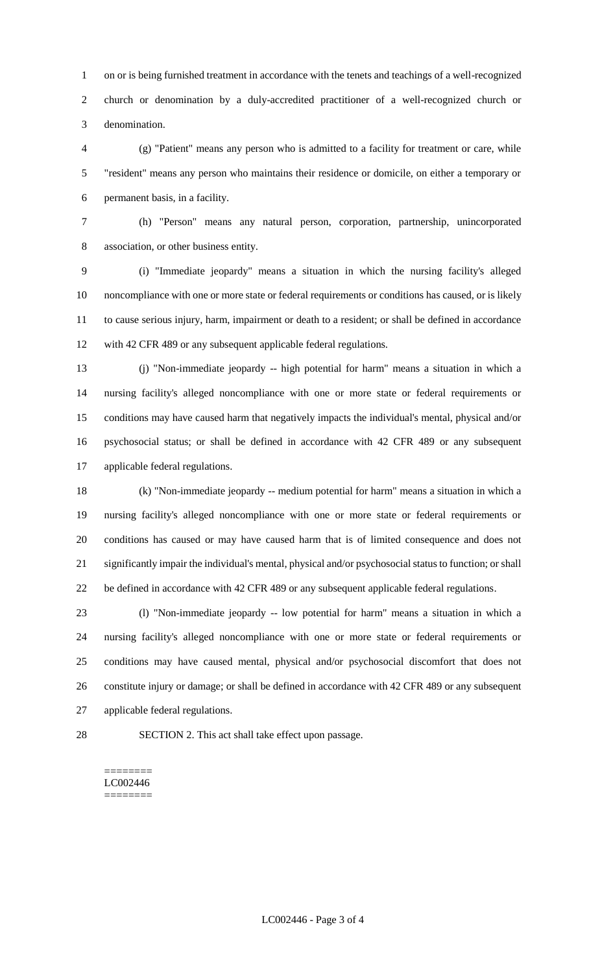on or is being furnished treatment in accordance with the tenets and teachings of a well-recognized church or denomination by a duly-accredited practitioner of a well-recognized church or denomination.

 (g) "Patient" means any person who is admitted to a facility for treatment or care, while "resident" means any person who maintains their residence or domicile, on either a temporary or permanent basis, in a facility.

 (h) "Person" means any natural person, corporation, partnership, unincorporated association, or other business entity.

 (i) "Immediate jeopardy" means a situation in which the nursing facility's alleged noncompliance with one or more state or federal requirements or conditions has caused, or is likely to cause serious injury, harm, impairment or death to a resident; or shall be defined in accordance 12 with 42 CFR 489 or any subsequent applicable federal regulations.

 (j) "Non-immediate jeopardy -- high potential for harm" means a situation in which a nursing facility's alleged noncompliance with one or more state or federal requirements or conditions may have caused harm that negatively impacts the individual's mental, physical and/or psychosocial status; or shall be defined in accordance with 42 CFR 489 or any subsequent applicable federal regulations.

 (k) "Non-immediate jeopardy -- medium potential for harm" means a situation in which a nursing facility's alleged noncompliance with one or more state or federal requirements or conditions has caused or may have caused harm that is of limited consequence and does not significantly impair the individual's mental, physical and/or psychosocial status to function; or shall be defined in accordance with 42 CFR 489 or any subsequent applicable federal regulations.

 (l) "Non-immediate jeopardy -- low potential for harm" means a situation in which a nursing facility's alleged noncompliance with one or more state or federal requirements or conditions may have caused mental, physical and/or psychosocial discomfort that does not constitute injury or damage; or shall be defined in accordance with 42 CFR 489 or any subsequent applicable federal regulations.

SECTION 2. This act shall take effect upon passage.

======== LC002446 ========